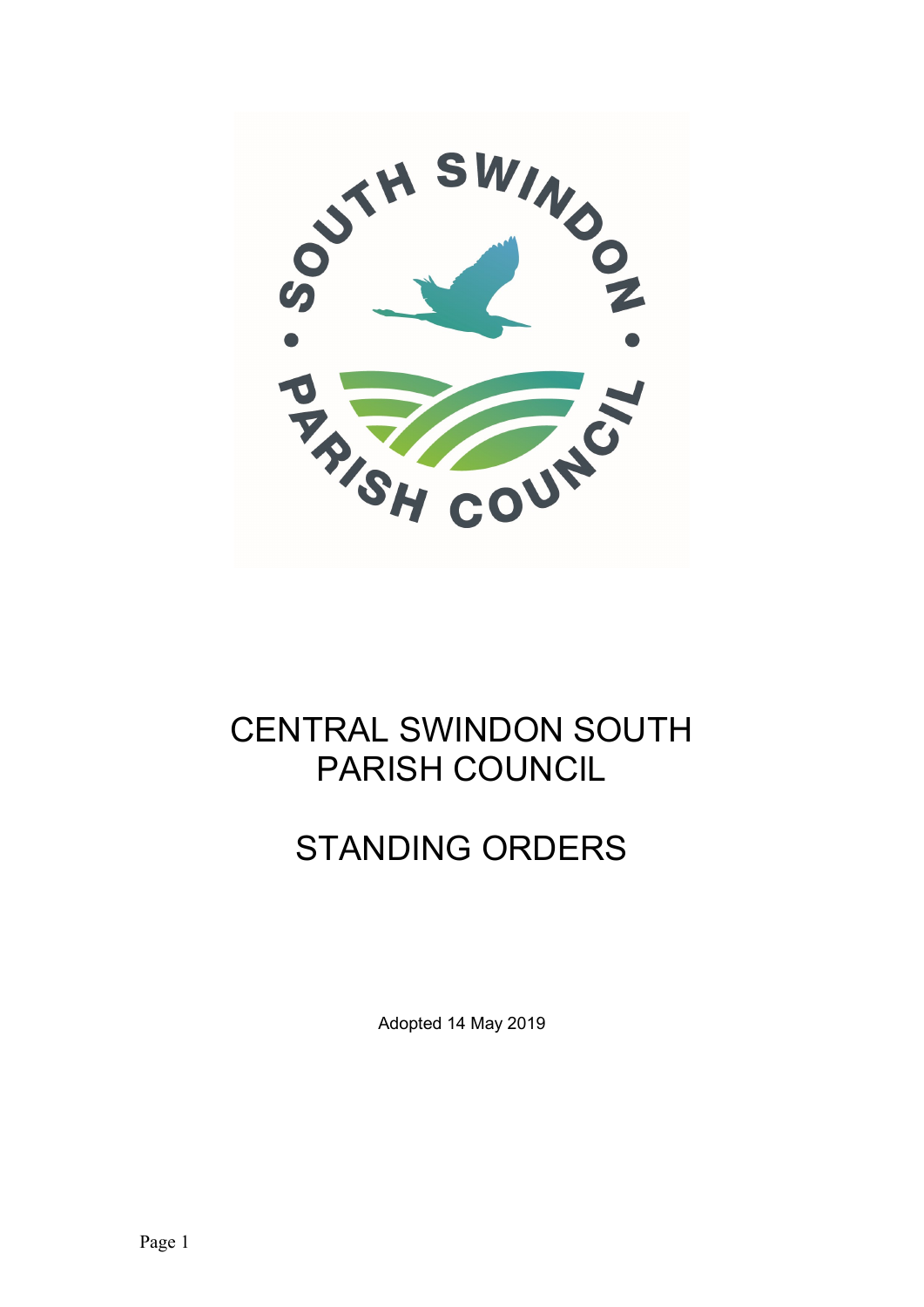

#### CENTRAL SWINDON SOUTH PARISH COUNCIL

# STANDING ORDERS

Adopted 14 May 2019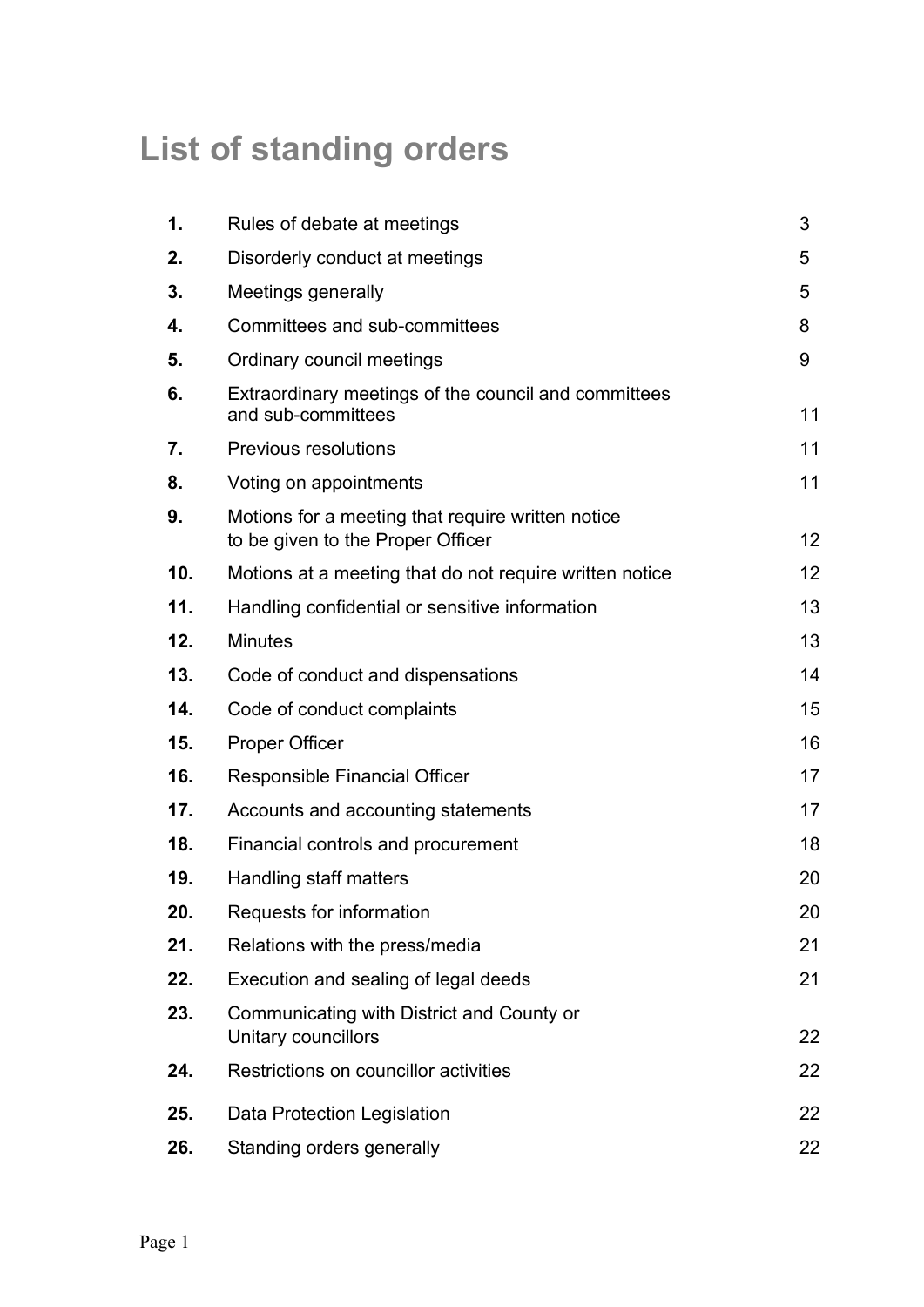# List of standing orders

| 1.  | Rules of debate at meetings                                                            | 3                 |
|-----|----------------------------------------------------------------------------------------|-------------------|
| 2.  | Disorderly conduct at meetings                                                         | 5                 |
| 3.  | Meetings generally                                                                     | 5                 |
| 4.  | Committees and sub-committees                                                          | 8                 |
| 5.  | Ordinary council meetings                                                              | 9                 |
| 6.  | Extraordinary meetings of the council and committees<br>and sub-committees             | 11                |
| 7.  | <b>Previous resolutions</b>                                                            | 11                |
| 8.  | Voting on appointments                                                                 | 11                |
| 9.  | Motions for a meeting that require written notice<br>to be given to the Proper Officer | 12                |
| 10. | Motions at a meeting that do not require written notice                                | $12 \overline{ }$ |
| 11. | Handling confidential or sensitive information                                         | 13                |
| 12. | <b>Minutes</b>                                                                         | 13                |
| 13. | Code of conduct and dispensations                                                      | 14                |
| 14. | Code of conduct complaints                                                             | 15                |
| 15. | <b>Proper Officer</b>                                                                  | 16                |
| 16. | <b>Responsible Financial Officer</b>                                                   | 17                |
| 17. | Accounts and accounting statements                                                     | 17                |
| 18. | Financial controls and procurement                                                     | 18                |
| 19. | Handling staff matters                                                                 | 20                |
| 20. | Requests for information                                                               | 20                |
| 21. | Relations with the press/media                                                         | 21                |
| 22. | Execution and sealing of legal deeds                                                   | 21                |
| 23. | Communicating with District and County or<br>Unitary councillors                       | 22                |
| 24. | Restrictions on councillor activities                                                  | 22                |
| 25. | <b>Data Protection Legislation</b>                                                     | 22                |
| 26. | Standing orders generally                                                              | 22                |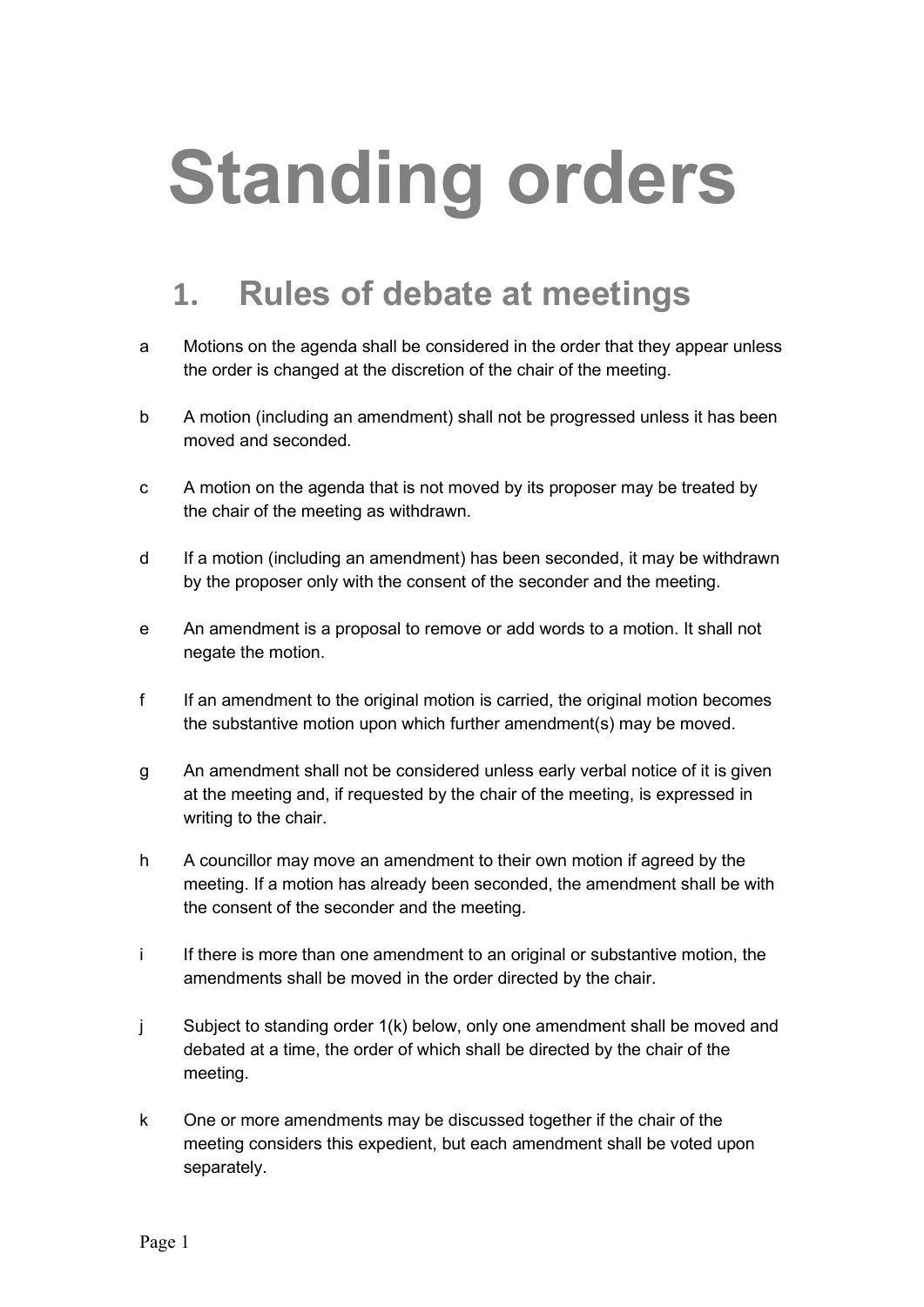# Standing orders

### 1. Rules of debate at meetings

- a Motions on the agenda shall be considered in the order that they appear unless the order is changed at the discretion of the chair of the meeting.
- b A motion (including an amendment) shall not be progressed unless it has been moved and seconded.
- c A motion on the agenda that is not moved by its proposer may be treated by the chair of the meeting as withdrawn.
- d If a motion (including an amendment) has been seconded, it may be withdrawn by the proposer only with the consent of the seconder and the meeting.
- e An amendment is a proposal to remove or add words to a motion. It shall not negate the motion.
- f If an amendment to the original motion is carried, the original motion becomes the substantive motion upon which further amendment(s) may be moved.
- g An amendment shall not be considered unless early verbal notice of it is given at the meeting and, if requested by the chair of the meeting, is expressed in writing to the chair.
- h A councillor may move an amendment to their own motion if agreed by the meeting. If a motion has already been seconded, the amendment shall be with the consent of the seconder and the meeting.
- i If there is more than one amendment to an original or substantive motion, the amendments shall be moved in the order directed by the chair.
- j Subject to standing order 1(k) below, only one amendment shall be moved and debated at a time, the order of which shall be directed by the chair of the meeting.
- k One or more amendments may be discussed together if the chair of the meeting considers this expedient, but each amendment shall be voted upon separately.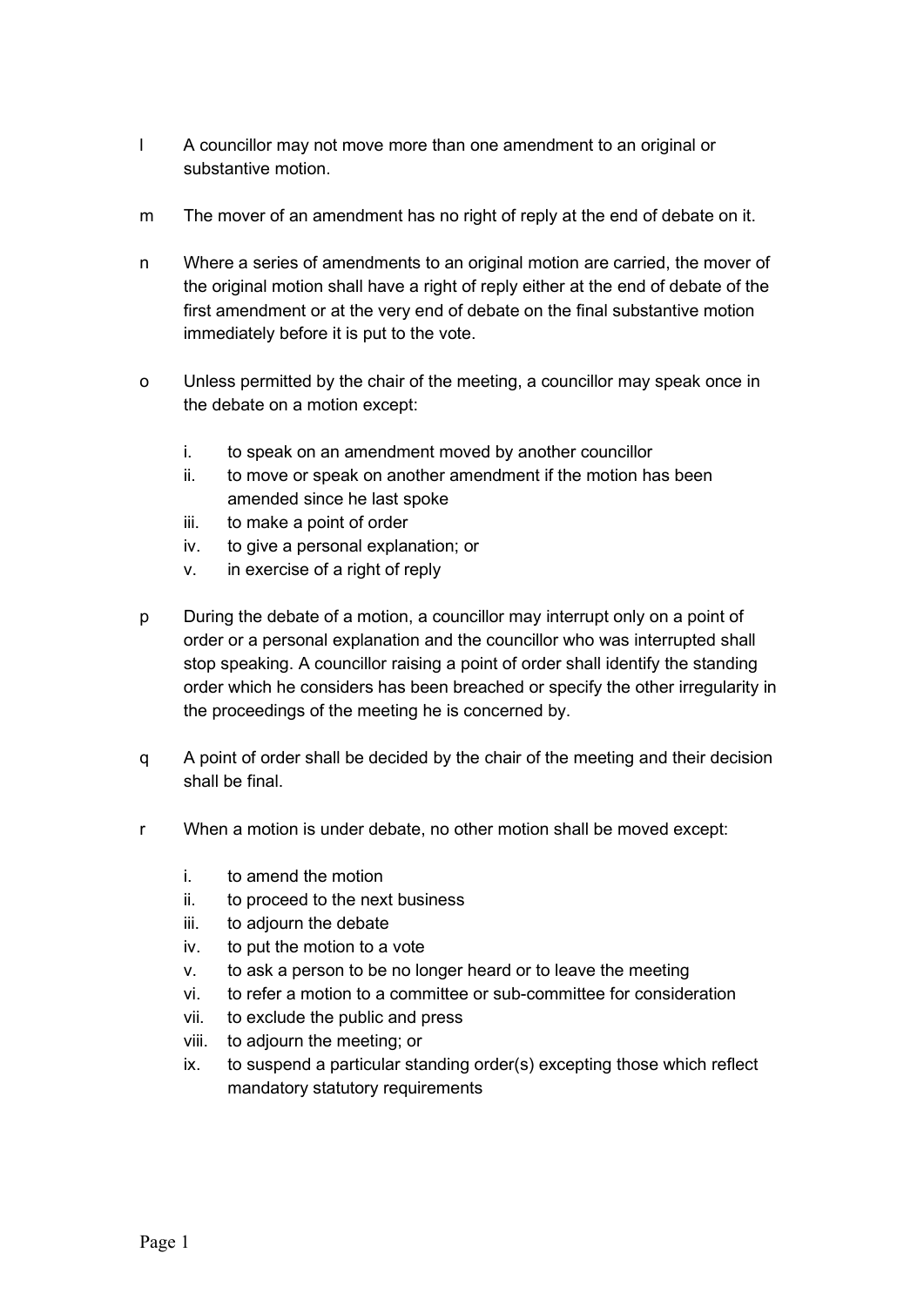- l A councillor may not move more than one amendment to an original or substantive motion.
- m The mover of an amendment has no right of reply at the end of debate on it.
- n Where a series of amendments to an original motion are carried, the mover of the original motion shall have a right of reply either at the end of debate of the first amendment or at the very end of debate on the final substantive motion immediately before it is put to the vote.
- o Unless permitted by the chair of the meeting, a councillor may speak once in the debate on a motion except:
	- i. to speak on an amendment moved by another councillor
	- ii. to move or speak on another amendment if the motion has been amended since he last spoke
	- iii. to make a point of order
	- iv. to give a personal explanation; or
	- v. in exercise of a right of reply
- p During the debate of a motion, a councillor may interrupt only on a point of order or a personal explanation and the councillor who was interrupted shall stop speaking. A councillor raising a point of order shall identify the standing order which he considers has been breached or specify the other irregularity in the proceedings of the meeting he is concerned by.
- q A point of order shall be decided by the chair of the meeting and their decision shall be final.
- r When a motion is under debate, no other motion shall be moved except:
	- i. to amend the motion
	- ii. to proceed to the next business
	- iii. to adjourn the debate
	- iv. to put the motion to a vote
	- v. to ask a person to be no longer heard or to leave the meeting
	- vi. to refer a motion to a committee or sub-committee for consideration
	- vii. to exclude the public and press
	- viii. to adjourn the meeting; or
	- ix. to suspend a particular standing order(s) excepting those which reflect mandatory statutory requirements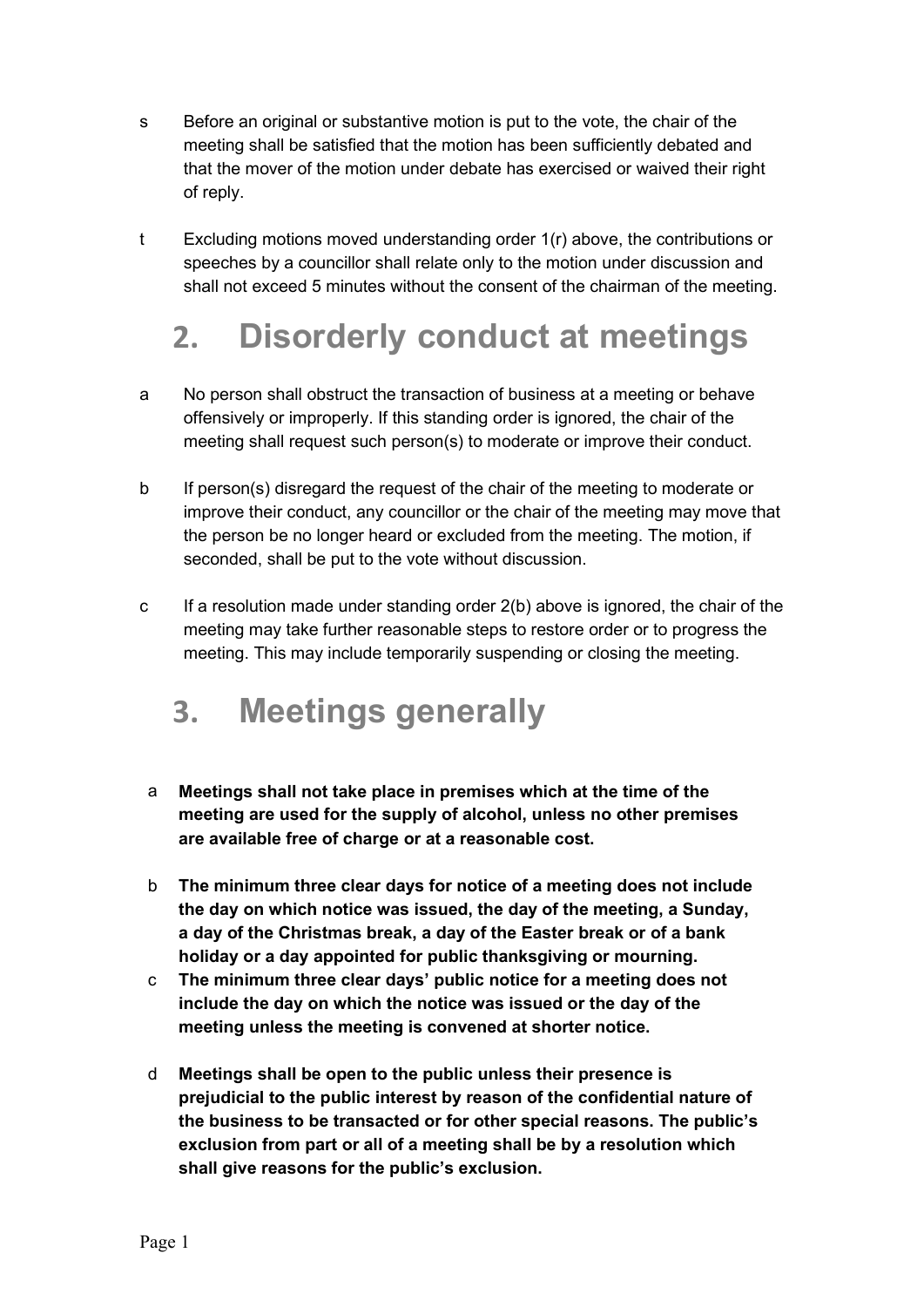- s Before an original or substantive motion is put to the vote, the chair of the meeting shall be satisfied that the motion has been sufficiently debated and that the mover of the motion under debate has exercised or waived their right of reply.
- t Excluding motions moved understanding order 1(r) above, the contributions or speeches by a councillor shall relate only to the motion under discussion and shall not exceed 5 minutes without the consent of the chairman of the meeting.

#### 2. Disorderly conduct at meetings

- a No person shall obstruct the transaction of business at a meeting or behave offensively or improperly. If this standing order is ignored, the chair of the meeting shall request such person(s) to moderate or improve their conduct.
- b If person(s) disregard the request of the chair of the meeting to moderate or improve their conduct, any councillor or the chair of the meeting may move that the person be no longer heard or excluded from the meeting. The motion, if seconded, shall be put to the vote without discussion.
- c If a resolution made under standing order 2(b) above is ignored, the chair of the meeting may take further reasonable steps to restore order or to progress the meeting. This may include temporarily suspending or closing the meeting.

#### 3. Meetings generally

- a Meetings shall not take place in premises which at the time of the meeting are used for the supply of alcohol, unless no other premises are available free of charge or at a reasonable cost.
- b The minimum three clear days for notice of a meeting does not include the day on which notice was issued, the day of the meeting, a Sunday, a day of the Christmas break, a day of the Easter break or of a bank holiday or a day appointed for public thanksgiving or mourning.
- c The minimum three clear days' public notice for a meeting does not include the day on which the notice was issued or the day of the meeting unless the meeting is convened at shorter notice.
- d Meetings shall be open to the public unless their presence is prejudicial to the public interest by reason of the confidential nature of the business to be transacted or for other special reasons. The public's exclusion from part or all of a meeting shall be by a resolution which shall give reasons for the public's exclusion.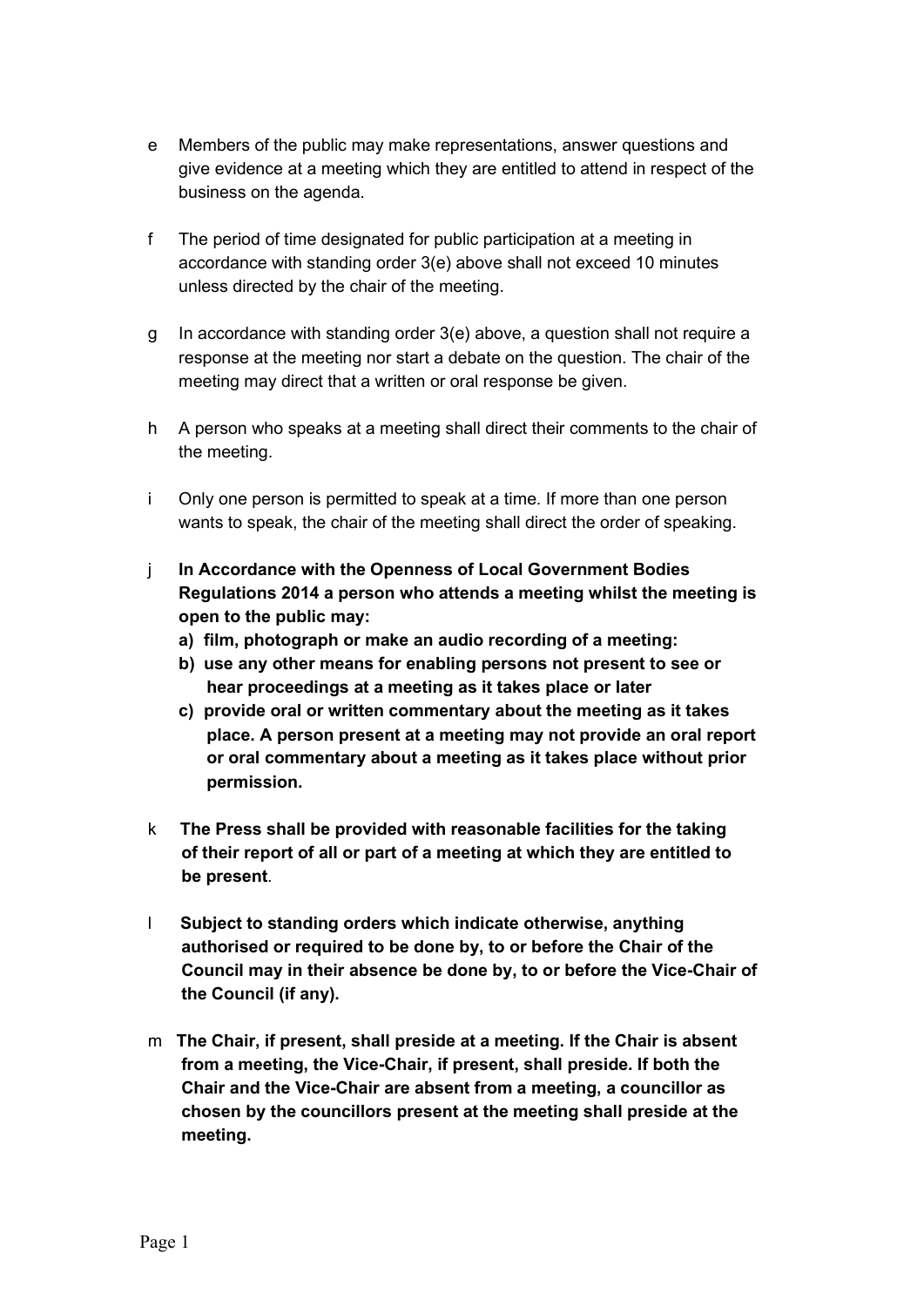- e Members of the public may make representations, answer questions and give evidence at a meeting which they are entitled to attend in respect of the business on the agenda.
- f The period of time designated for public participation at a meeting in accordance with standing order 3(e) above shall not exceed 10 minutes unless directed by the chair of the meeting.
- g In accordance with standing order 3(e) above, a question shall not require a response at the meeting nor start a debate on the question. The chair of the meeting may direct that a written or oral response be given.
- h A person who speaks at a meeting shall direct their comments to the chair of the meeting.
- i Only one person is permitted to speak at a time. If more than one person wants to speak, the chair of the meeting shall direct the order of speaking.
- j In Accordance with the Openness of Local Government Bodies Regulations 2014 a person who attends a meeting whilst the meeting is open to the public may:
	- a) film, photograph or make an audio recording of a meeting:
	- b) use any other means for enabling persons not present to see or hear proceedings at a meeting as it takes place or later
	- c) provide oral or written commentary about the meeting as it takes place. A person present at a meeting may not provide an oral report or oral commentary about a meeting as it takes place without prior permission.
- k The Press shall be provided with reasonable facilities for the taking of their report of all or part of a meeting at which they are entitled to be present.
- l Subject to standing orders which indicate otherwise, anything authorised or required to be done by, to or before the Chair of the Council may in their absence be done by, to or before the Vice-Chair of the Council (if any).
- m The Chair, if present, shall preside at a meeting. If the Chair is absent from a meeting, the Vice-Chair, if present, shall preside. If both the Chair and the Vice-Chair are absent from a meeting, a councillor as chosen by the councillors present at the meeting shall preside at the meeting.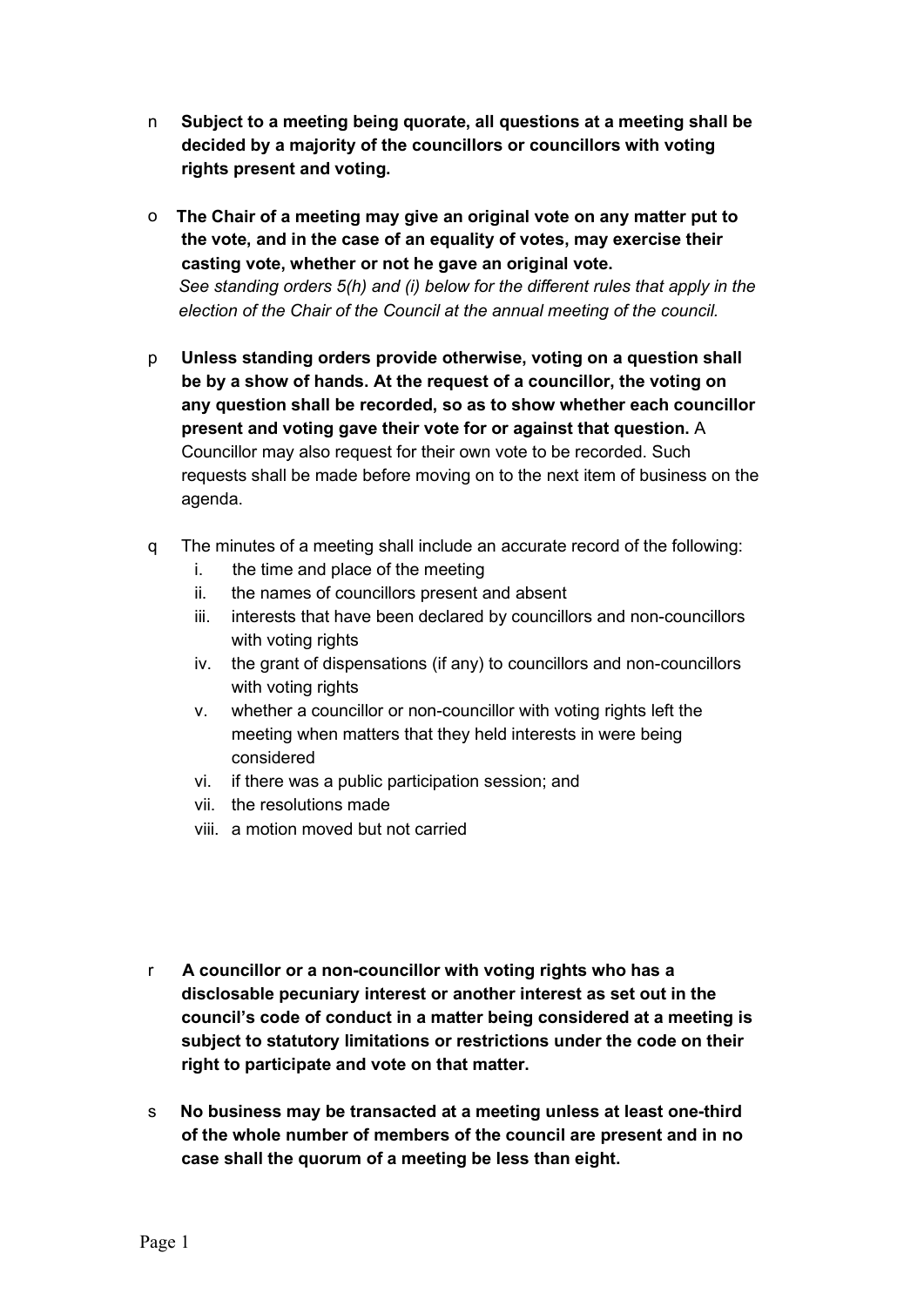- n Subject to a meeting being quorate, all questions at a meeting shall be decided by a majority of the councillors or councillors with voting rights present and voting.
- o The Chair of a meeting may give an original vote on any matter put to the vote, and in the case of an equality of votes, may exercise their casting vote, whether or not he gave an original vote. See standing orders 5(h) and (i) below for the different rules that apply in the election of the Chair of the Council at the annual meeting of the council.
- p Unless standing orders provide otherwise, voting on a question shall be by a show of hands. At the request of a councillor, the voting on any question shall be recorded, so as to show whether each councillor present and voting gave their vote for or against that question. A Councillor may also request for their own vote to be recorded. Such requests shall be made before moving on to the next item of business on the agenda.
- q The minutes of a meeting shall include an accurate record of the following:
	- i. the time and place of the meeting
	- ii. the names of councillors present and absent
	- iii. interests that have been declared by councillors and non-councillors with voting rights
	- iv. the grant of dispensations (if any) to councillors and non-councillors with voting rights
	- v. whether a councillor or non-councillor with voting rights left the meeting when matters that they held interests in were being considered
	- vi. if there was a public participation session; and
	- vii. the resolutions made
	- viii. a motion moved but not carried
- r A councillor or a non-councillor with voting rights who has a disclosable pecuniary interest or another interest as set out in the council's code of conduct in a matter being considered at a meeting is subject to statutory limitations or restrictions under the code on their right to participate and vote on that matter.
- s No business may be transacted at a meeting unless at least one-third of the whole number of members of the council are present and in no case shall the quorum of a meeting be less than eight.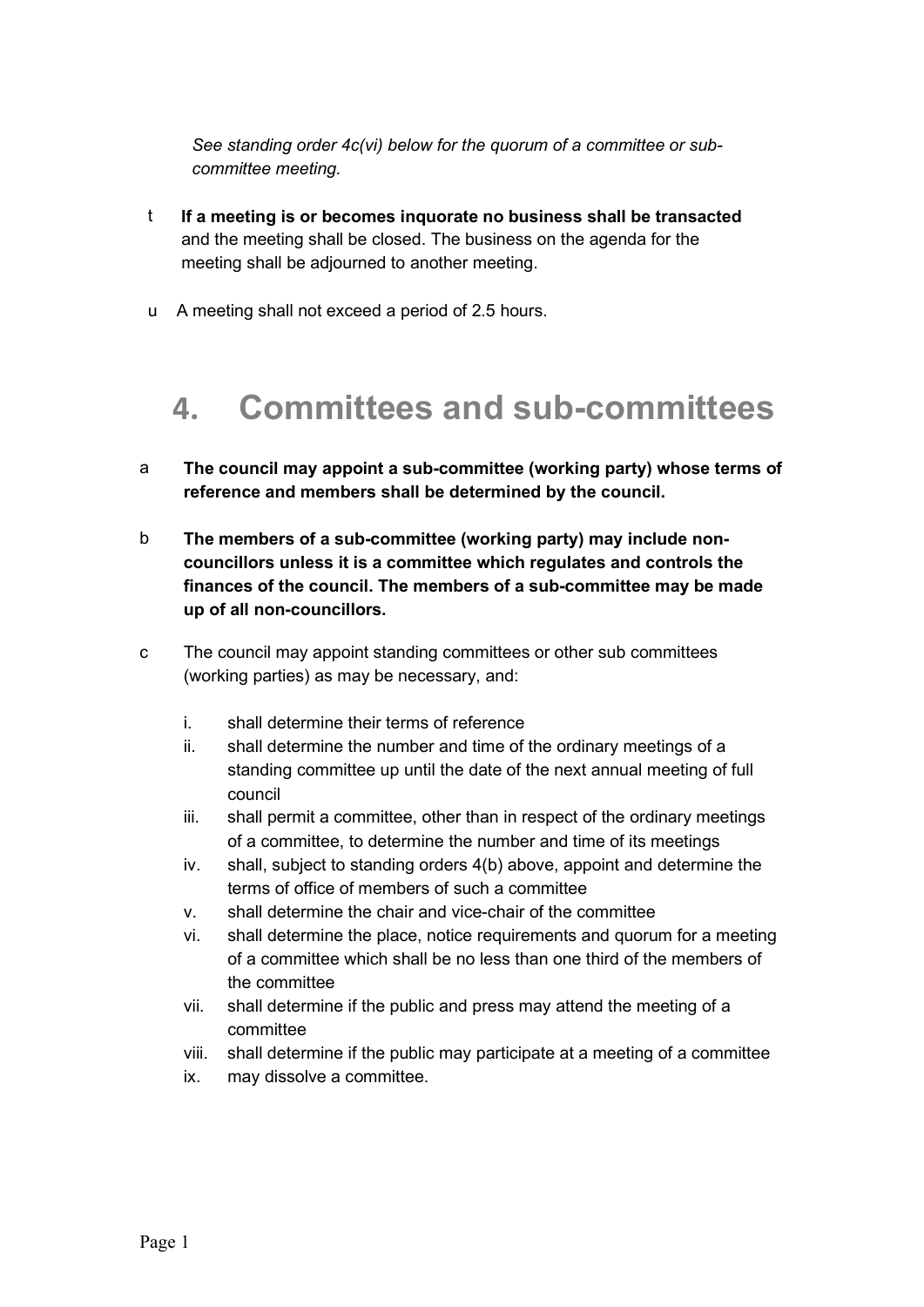See standing order 4c(vi) below for the quorum of a committee or subcommittee meeting.

- t If a meeting is or becomes inquorate no business shall be transacted and the meeting shall be closed. The business on the agenda for the meeting shall be adjourned to another meeting.
- u A meeting shall not exceed a period of 2.5 hours.

#### 4. Committees and sub-committees

- a The council may appoint a sub-committee (working party) whose terms of reference and members shall be determined by the council.
- b The members of a sub-committee (working party) may include noncouncillors unless it is a committee which regulates and controls the finances of the council. The members of a sub-committee may be made up of all non-councillors.
- c The council may appoint standing committees or other sub committees (working parties) as may be necessary, and:
	- i. shall determine their terms of reference
	- ii. shall determine the number and time of the ordinary meetings of a standing committee up until the date of the next annual meeting of full council
	- iii. shall permit a committee, other than in respect of the ordinary meetings of a committee, to determine the number and time of its meetings
	- iv. shall, subject to standing orders 4(b) above, appoint and determine the terms of office of members of such a committee
	- v. shall determine the chair and vice-chair of the committee
	- vi. shall determine the place, notice requirements and quorum for a meeting of a committee which shall be no less than one third of the members of the committee
	- vii. shall determine if the public and press may attend the meeting of a committee
	- viii. shall determine if the public may participate at a meeting of a committee
	- ix. may dissolve a committee.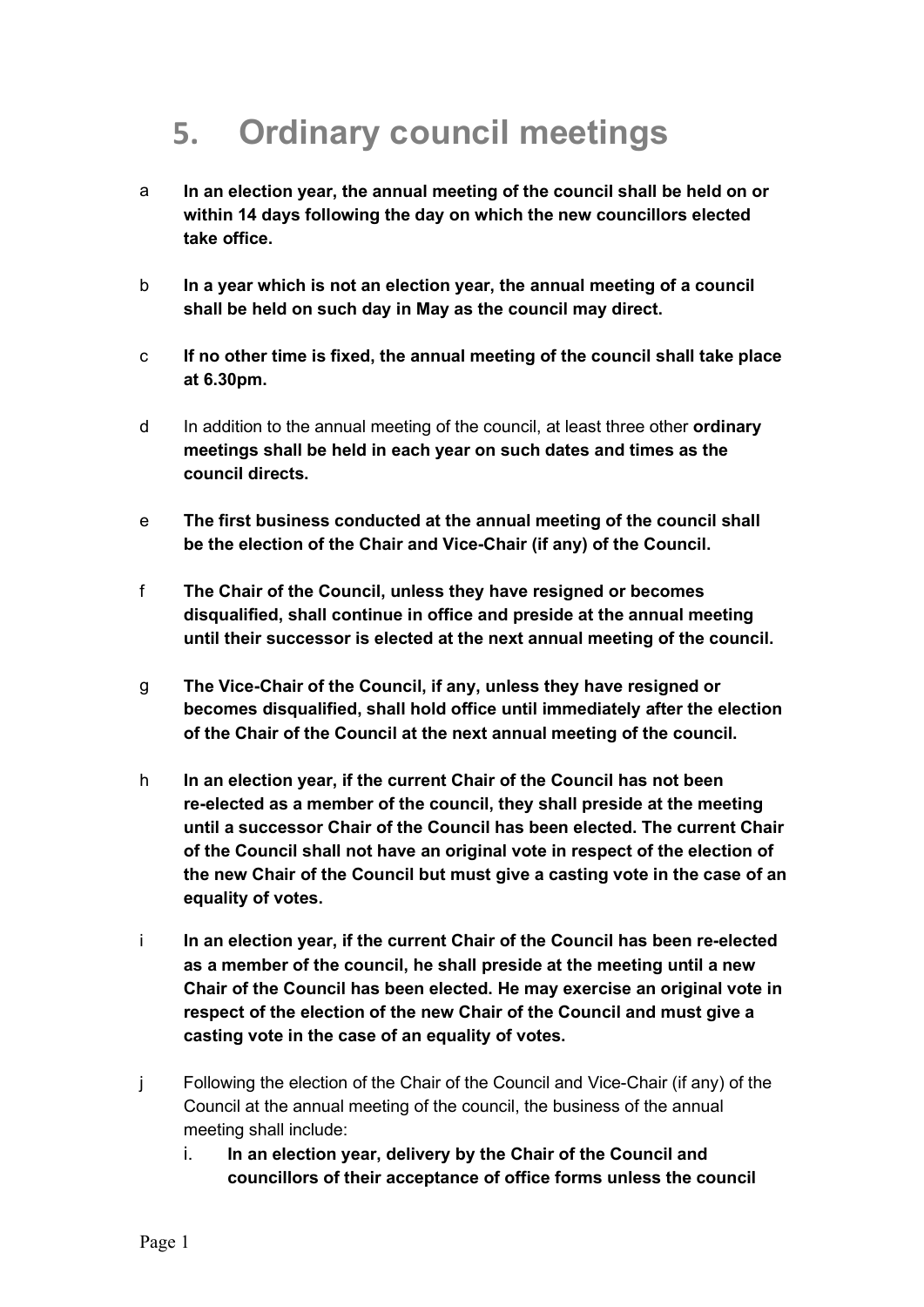# 5. Ordinary council meetings

- a In an election year, the annual meeting of the council shall be held on or within 14 days following the day on which the new councillors elected take office.
- b In a year which is not an election year, the annual meeting of a council shall be held on such day in May as the council may direct.
- c If no other time is fixed, the annual meeting of the council shall take place at 6.30pm.
- d In addition to the annual meeting of the council, at least three other **ordinary** meetings shall be held in each year on such dates and times as the council directs.
- e The first business conducted at the annual meeting of the council shall be the election of the Chair and Vice-Chair (if any) of the Council.
- f The Chair of the Council, unless they have resigned or becomes disqualified, shall continue in office and preside at the annual meeting until their successor is elected at the next annual meeting of the council.
- g The Vice-Chair of the Council, if any, unless they have resigned or becomes disqualified, shall hold office until immediately after the election of the Chair of the Council at the next annual meeting of the council.
- h In an election year, if the current Chair of the Council has not been re-elected as a member of the council, they shall preside at the meeting until a successor Chair of the Council has been elected. The current Chair of the Council shall not have an original vote in respect of the election of the new Chair of the Council but must give a casting vote in the case of an equality of votes.
- i In an election year, if the current Chair of the Council has been re-elected as a member of the council, he shall preside at the meeting until a new Chair of the Council has been elected. He may exercise an original vote in respect of the election of the new Chair of the Council and must give a casting vote in the case of an equality of votes.
- j Following the election of the Chair of the Council and Vice-Chair (if any) of the Council at the annual meeting of the council, the business of the annual meeting shall include:
	- i. In an election year, delivery by the Chair of the Council and councillors of their acceptance of office forms unless the council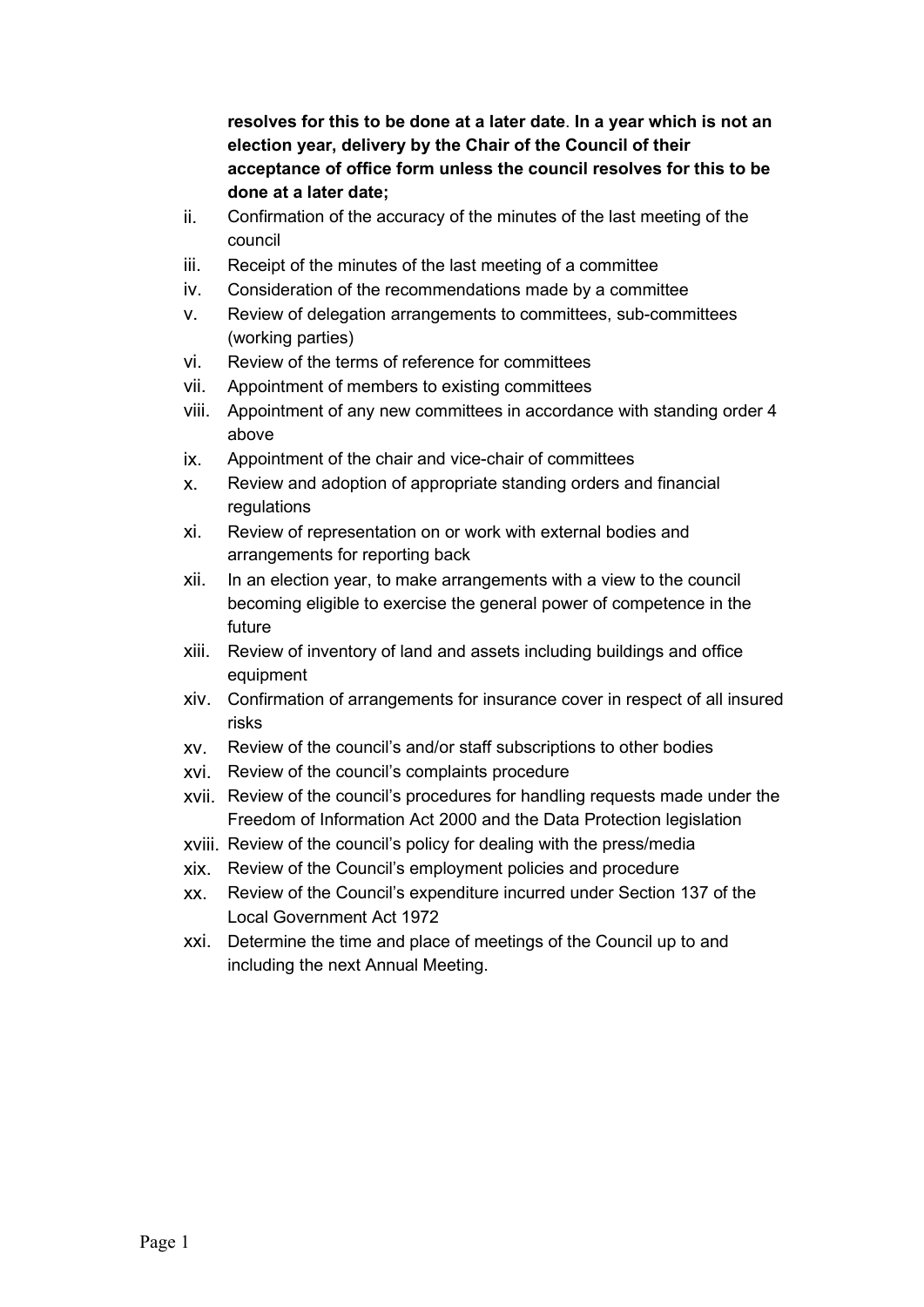resolves for this to be done at a later date. In a year which is not an election year, delivery by the Chair of the Council of their acceptance of office form unless the council resolves for this to be done at a later date;

- ii. Confirmation of the accuracy of the minutes of the last meeting of the council
- iii. Receipt of the minutes of the last meeting of a committee
- iv. Consideration of the recommendations made by a committee
- v. Review of delegation arrangements to committees, sub-committees (working parties)
- vi. Review of the terms of reference for committees
- vii. Appointment of members to existing committees
- viii. Appointment of any new committees in accordance with standing order 4 above
- ix. Appointment of the chair and vice-chair of committees
- x. Review and adoption of appropriate standing orders and financial regulations
- xi. Review of representation on or work with external bodies and arrangements for reporting back
- xii. In an election year, to make arrangements with a view to the council becoming eligible to exercise the general power of competence in the future
- xiii. Review of inventory of land and assets including buildings and office equipment
- xiv. Confirmation of arrangements for insurance cover in respect of all insured risks
- xv. Review of the council's and/or staff subscriptions to other bodies
- xvi. Review of the council's complaints procedure
- xvii. Review of the council's procedures for handling requests made under the Freedom of Information Act 2000 and the Data Protection legislation
- xviii. Review of the council's policy for dealing with the press/media
- xix. Review of the Council's employment policies and procedure
- xx. Review of the Council's expenditure incurred under Section 137 of the Local Government Act 1972
- xxi. Determine the time and place of meetings of the Council up to and including the next Annual Meeting.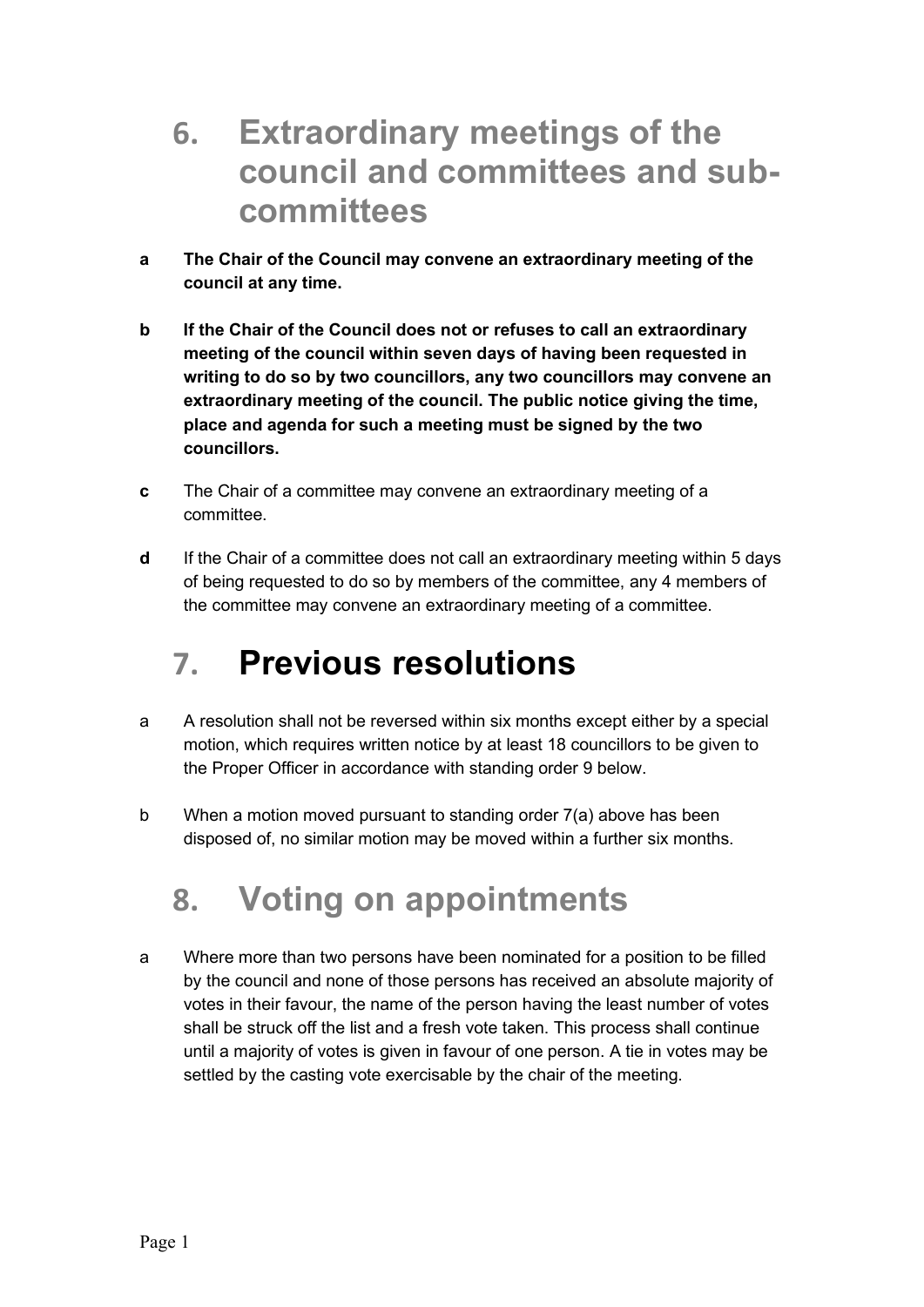#### 6. Extraordinary meetings of the council and committees and subcommittees

- a The Chair of the Council may convene an extraordinary meeting of the council at any time.
- b If the Chair of the Council does not or refuses to call an extraordinary meeting of the council within seven days of having been requested in writing to do so by two councillors, any two councillors may convene an extraordinary meeting of the council. The public notice giving the time, place and agenda for such a meeting must be signed by the two councillors.
- c The Chair of a committee may convene an extraordinary meeting of a committee.
- d If the Chair of a committee does not call an extraordinary meeting within 5 days of being requested to do so by members of the committee, any 4 members of the committee may convene an extraordinary meeting of a committee.

### 7. Previous resolutions

- a A resolution shall not be reversed within six months except either by a special motion, which requires written notice by at least 18 councillors to be given to the Proper Officer in accordance with standing order 9 below.
- b When a motion moved pursuant to standing order 7(a) above has been disposed of, no similar motion may be moved within a further six months.

# 8. Voting on appointments

a Where more than two persons have been nominated for a position to be filled by the council and none of those persons has received an absolute majority of votes in their favour, the name of the person having the least number of votes shall be struck off the list and a fresh vote taken. This process shall continue until a majority of votes is given in favour of one person. A tie in votes may be settled by the casting vote exercisable by the chair of the meeting.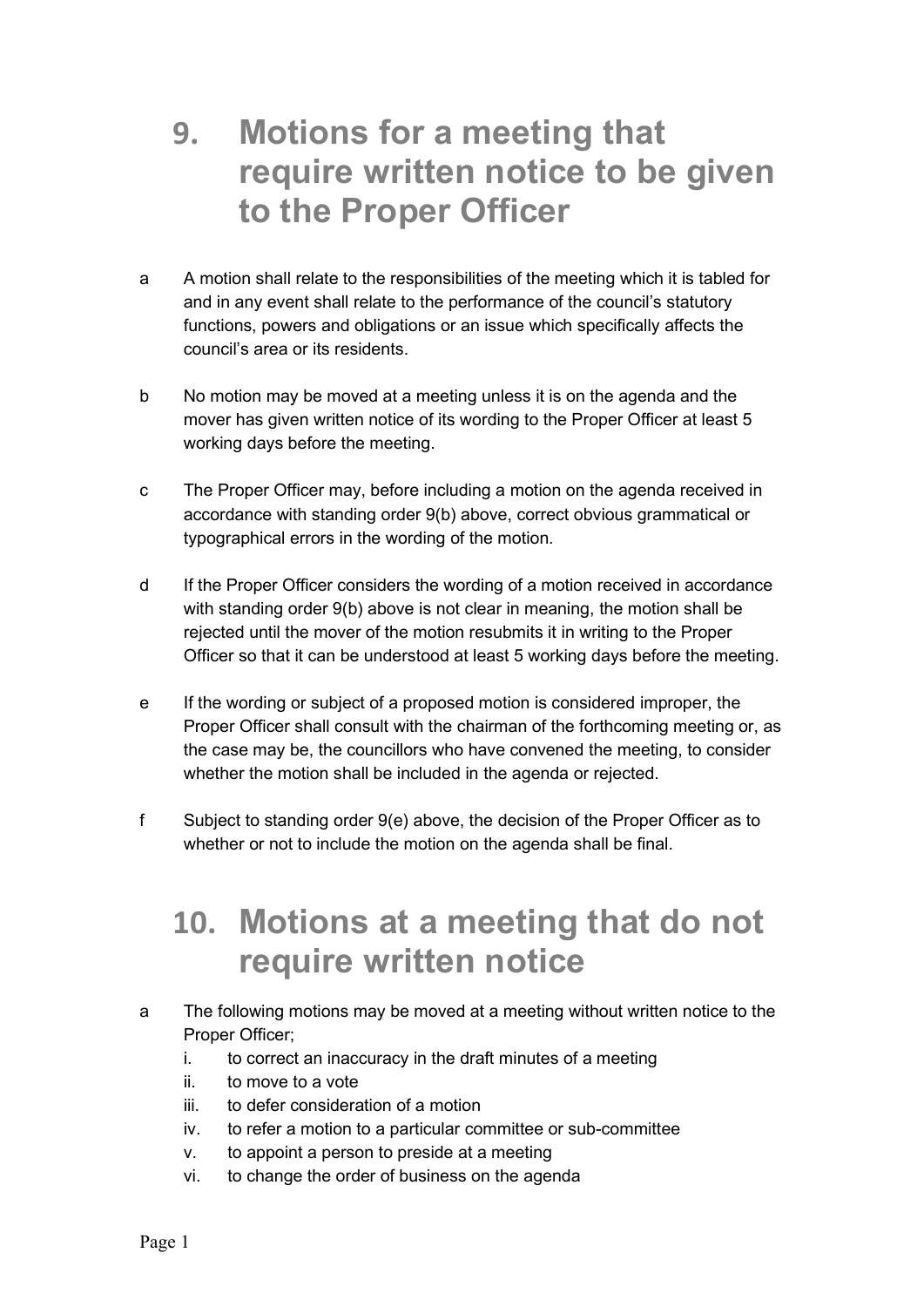### 9. Motions for a meeting that require written notice to be given to the Proper Officer

- a A motion shall relate to the responsibilities of the meeting which it is tabled for and in any event shall relate to the performance of the council's statutory functions, powers and obligations or an issue which specifically affects the council's area or its residents.
- b No motion may be moved at a meeting unless it is on the agenda and the mover has given written notice of its wording to the Proper Officer at least 5 working days before the meeting.
- c The Proper Officer may, before including a motion on the agenda received in accordance with standing order 9(b) above, correct obvious grammatical or typographical errors in the wording of the motion.
- d If the Proper Officer considers the wording of a motion received in accordance with standing order 9(b) above is not clear in meaning, the motion shall be rejected until the mover of the motion resubmits it in writing to the Proper Officer so that it can be understood at least 5 working days before the meeting.
- e If the wording or subject of a proposed motion is considered improper, the Proper Officer shall consult with the chairman of the forthcoming meeting or, as the case may be, the councillors who have convened the meeting, to consider whether the motion shall be included in the agenda or rejected.
- f Subject to standing order 9(e) above, the decision of the Proper Officer as to whether or not to include the motion on the agenda shall be final.

#### 10. Motions at a meeting that do not require written notice

- a The following motions may be moved at a meeting without written notice to the Proper Officer;
	- i. to correct an inaccuracy in the draft minutes of a meeting
	- ii. to move to a vote
	- iii. to defer consideration of a motion
	- iv. to refer a motion to a particular committee or sub-committee
	- v. to appoint a person to preside at a meeting
	- vi. to change the order of business on the agenda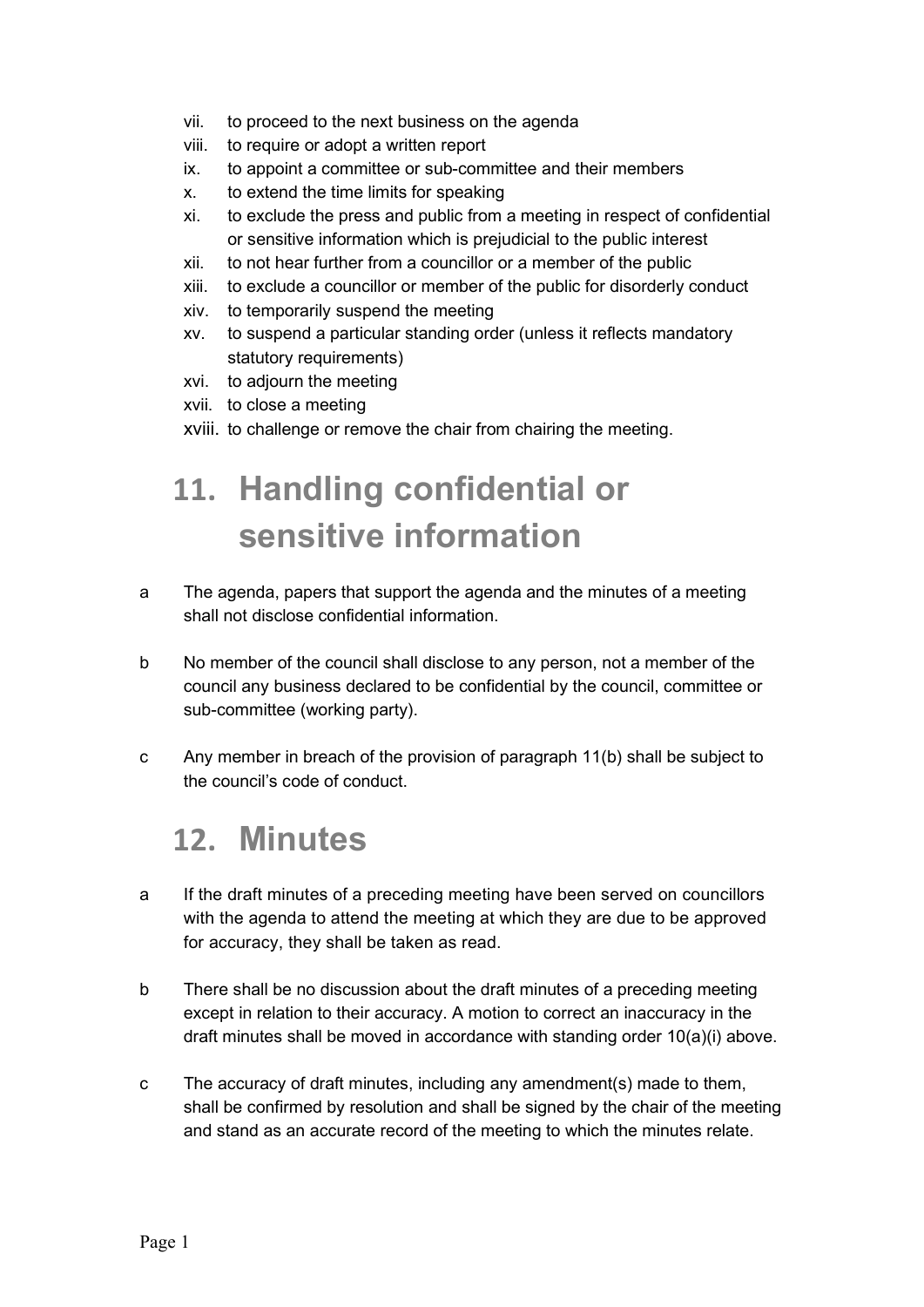- vii. to proceed to the next business on the agenda
- viii. to require or adopt a written report
- ix. to appoint a committee or sub-committee and their members
- x. to extend the time limits for speaking
- xi. to exclude the press and public from a meeting in respect of confidential or sensitive information which is prejudicial to the public interest
- xii. to not hear further from a councillor or a member of the public
- xiii. to exclude a councillor or member of the public for disorderly conduct
- xiv. to temporarily suspend the meeting
- xv. to suspend a particular standing order (unless it reflects mandatory statutory requirements)
- xvi. to adjourn the meeting
- xvii. to close a meeting
- xviii. to challenge or remove the chair from chairing the meeting.

# 11. Handling confidential or sensitive information

- a The agenda, papers that support the agenda and the minutes of a meeting shall not disclose confidential information.
- b No member of the council shall disclose to any person, not a member of the council any business declared to be confidential by the council, committee or sub-committee (working party).
- c Any member in breach of the provision of paragraph 11(b) shall be subject to the council's code of conduct.

#### 12. Minutes

- a If the draft minutes of a preceding meeting have been served on councillors with the agenda to attend the meeting at which they are due to be approved for accuracy, they shall be taken as read.
- b There shall be no discussion about the draft minutes of a preceding meeting except in relation to their accuracy. A motion to correct an inaccuracy in the draft minutes shall be moved in accordance with standing order 10(a)(i) above.
- c The accuracy of draft minutes, including any amendment(s) made to them, shall be confirmed by resolution and shall be signed by the chair of the meeting and stand as an accurate record of the meeting to which the minutes relate.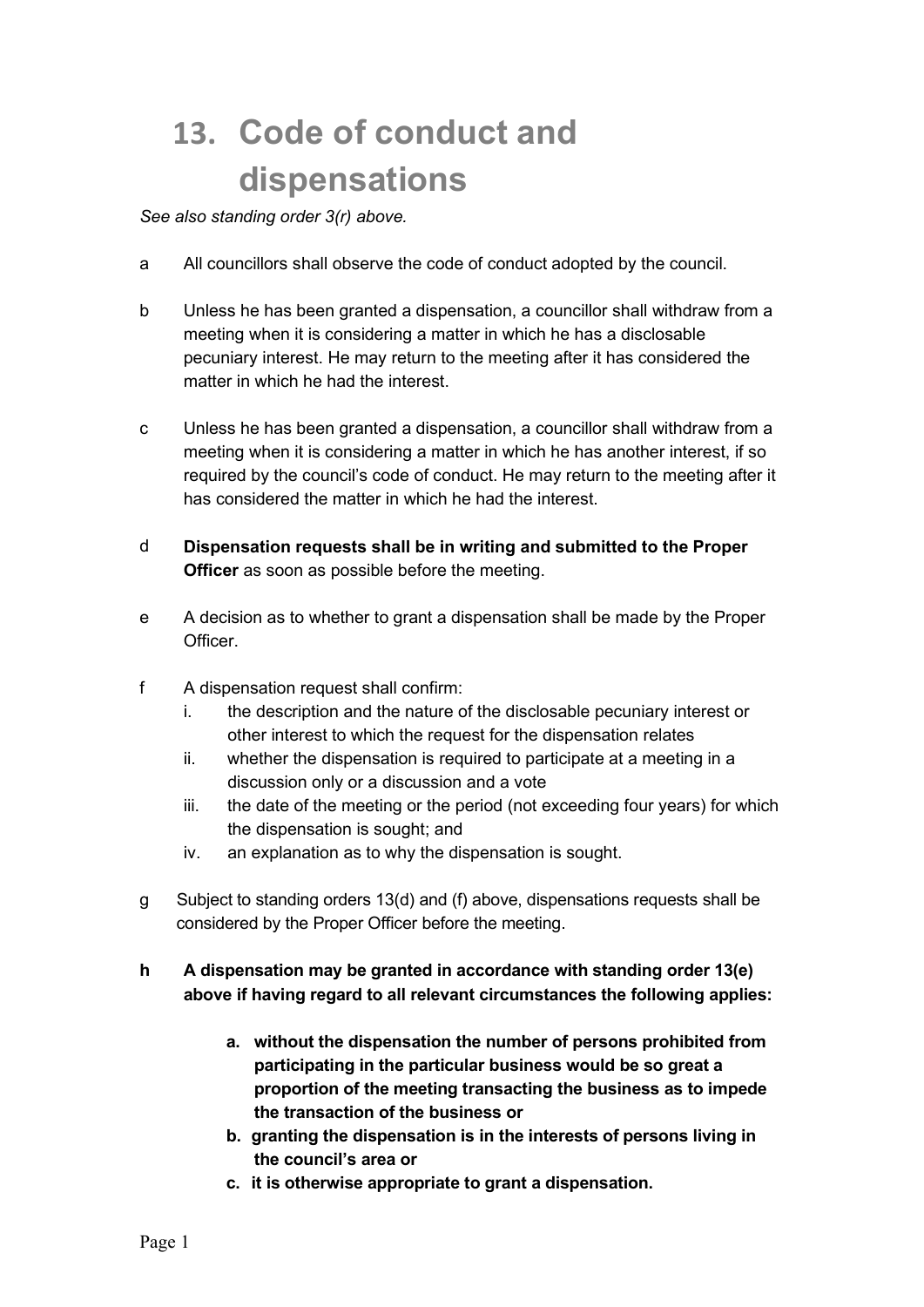# 13. Code of conduct and dispensations

See also standing order 3(r) above.

- a All councillors shall observe the code of conduct adopted by the council.
- b Unless he has been granted a dispensation, a councillor shall withdraw from a meeting when it is considering a matter in which he has a disclosable pecuniary interest. He may return to the meeting after it has considered the matter in which he had the interest.
- c Unless he has been granted a dispensation, a councillor shall withdraw from a meeting when it is considering a matter in which he has another interest, if so required by the council's code of conduct. He may return to the meeting after it has considered the matter in which he had the interest.
- d Dispensation requests shall be in writing and submitted to the Proper **Officer** as soon as possible before the meeting.
- e A decision as to whether to grant a dispensation shall be made by the Proper Officer.
- f A dispensation request shall confirm:
	- i. the description and the nature of the disclosable pecuniary interest or other interest to which the request for the dispensation relates
	- ii. whether the dispensation is required to participate at a meeting in a discussion only or a discussion and a vote
	- iii. the date of the meeting or the period (not exceeding four years) for which the dispensation is sought; and
	- iv. an explanation as to why the dispensation is sought.
- g Subject to standing orders 13(d) and (f) above, dispensations requests shall be considered by the Proper Officer before the meeting.
- h A dispensation may be granted in accordance with standing order 13(e) above if having regard to all relevant circumstances the following applies:
	- a. without the dispensation the number of persons prohibited from participating in the particular business would be so great a proportion of the meeting transacting the business as to impede the transaction of the business or
	- b. granting the dispensation is in the interests of persons living in the council's area or
	- c. it is otherwise appropriate to grant a dispensation.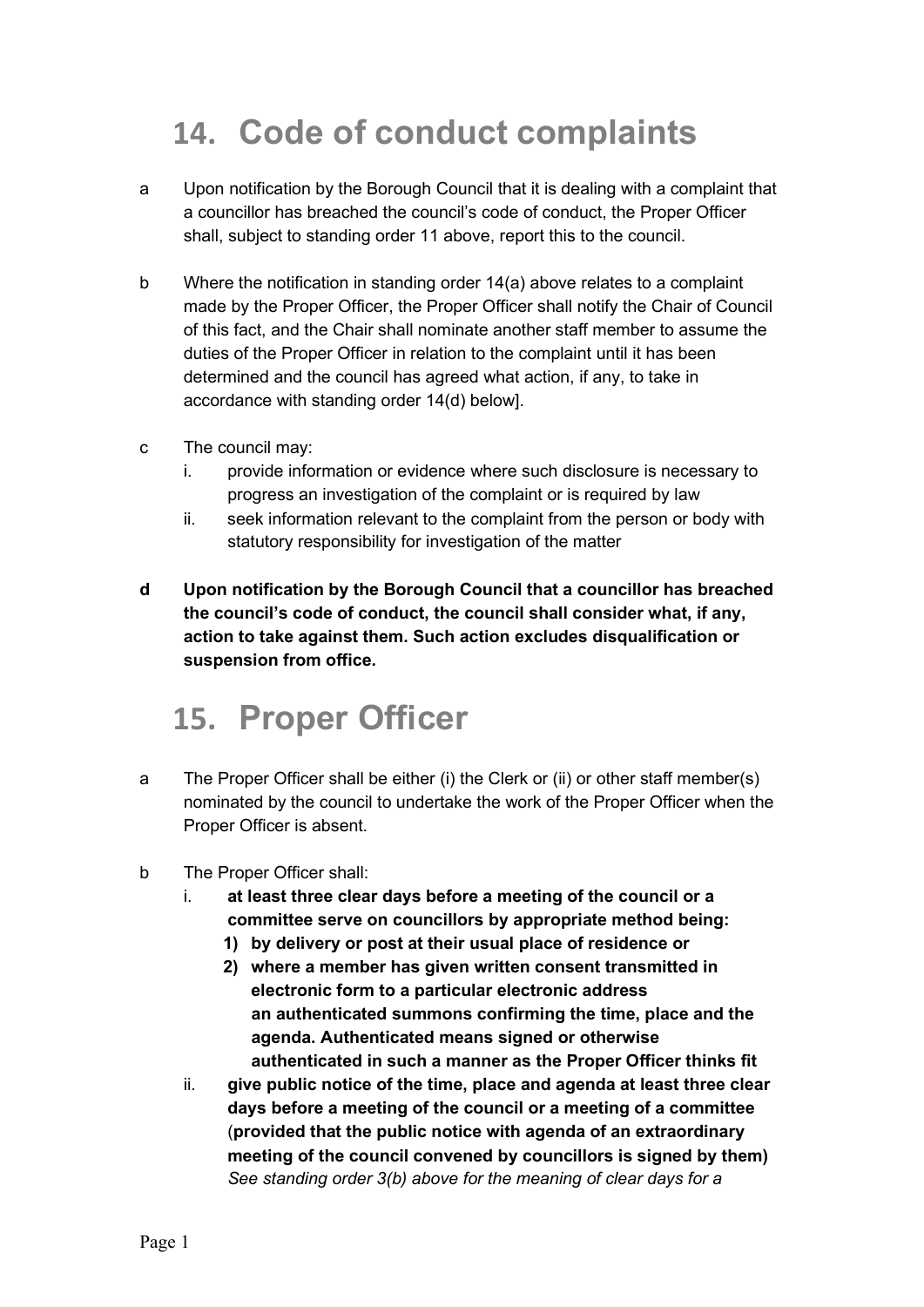# 14. Code of conduct complaints

- a Upon notification by the Borough Council that it is dealing with a complaint that a councillor has breached the council's code of conduct, the Proper Officer shall, subject to standing order 11 above, report this to the council.
- b Where the notification in standing order 14(a) above relates to a complaint made by the Proper Officer, the Proper Officer shall notify the Chair of Council of this fact, and the Chair shall nominate another staff member to assume the duties of the Proper Officer in relation to the complaint until it has been determined and the council has agreed what action, if any, to take in accordance with standing order 14(d) below].
- c The council may:
	- i. provide information or evidence where such disclosure is necessary to progress an investigation of the complaint or is required by law
	- ii. seek information relevant to the complaint from the person or body with statutory responsibility for investigation of the matter
- d Upon notification by the Borough Council that a councillor has breached the council's code of conduct, the council shall consider what, if any, action to take against them. Such action excludes disqualification or suspension from office.

#### 15. Proper Officer

- a The Proper Officer shall be either (i) the Clerk or (ii) or other staff member(s) nominated by the council to undertake the work of the Proper Officer when the Proper Officer is absent.
- b The Proper Officer shall:
	- i. at least three clear days before a meeting of the council or a committee serve on councillors by appropriate method being:
		- 1) by delivery or post at their usual place of residence or
		- 2) where a member has given written consent transmitted in electronic form to a particular electronic address an authenticated summons confirming the time, place and the agenda. Authenticated means signed or otherwise authenticated in such a manner as the Proper Officer thinks fit
	- ii. give public notice of the time, place and agenda at least three clear days before a meeting of the council or a meeting of a committee (provided that the public notice with agenda of an extraordinary meeting of the council convened by councillors is signed by them) See standing order 3(b) above for the meaning of clear days for a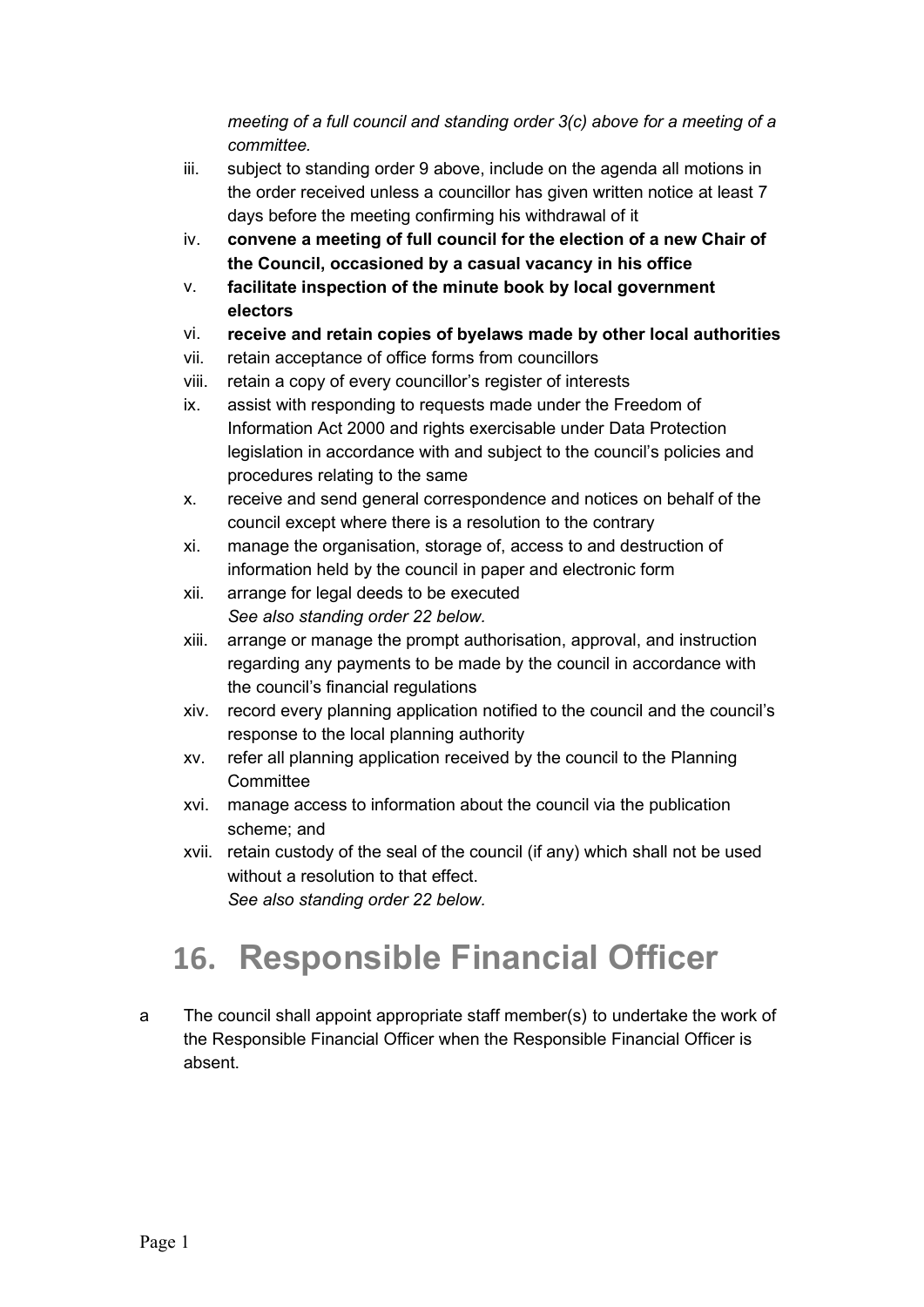meeting of a full council and standing order 3(c) above for a meeting of a committee.

- iii. subject to standing order 9 above, include on the agenda all motions in the order received unless a councillor has given written notice at least 7 days before the meeting confirming his withdrawal of it
- iv. convene a meeting of full council for the election of a new Chair of the Council, occasioned by a casual vacancy in his office
- v. facilitate inspection of the minute book by local government electors
- vi. receive and retain copies of byelaws made by other local authorities
- vii. retain acceptance of office forms from councillors
- viii. retain a copy of every councillor's register of interests
- ix. assist with responding to requests made under the Freedom of Information Act 2000 and rights exercisable under Data Protection legislation in accordance with and subject to the council's policies and procedures relating to the same
- x. receive and send general correspondence and notices on behalf of the council except where there is a resolution to the contrary
- xi. manage the organisation, storage of, access to and destruction of information held by the council in paper and electronic form
- xii. arrange for legal deeds to be executed See also standing order 22 below.
- xiii. arrange or manage the prompt authorisation, approval, and instruction regarding any payments to be made by the council in accordance with the council's financial regulations
- xiv. record every planning application notified to the council and the council's response to the local planning authority
- xv. refer all planning application received by the council to the Planning **Committee**
- xvi. manage access to information about the council via the publication scheme; and
- xvii. retain custody of the seal of the council (if any) which shall not be used without a resolution to that effect. See also standing order 22 below.

# 16. Responsible Financial Officer

a The council shall appoint appropriate staff member(s) to undertake the work of the Responsible Financial Officer when the Responsible Financial Officer is absent.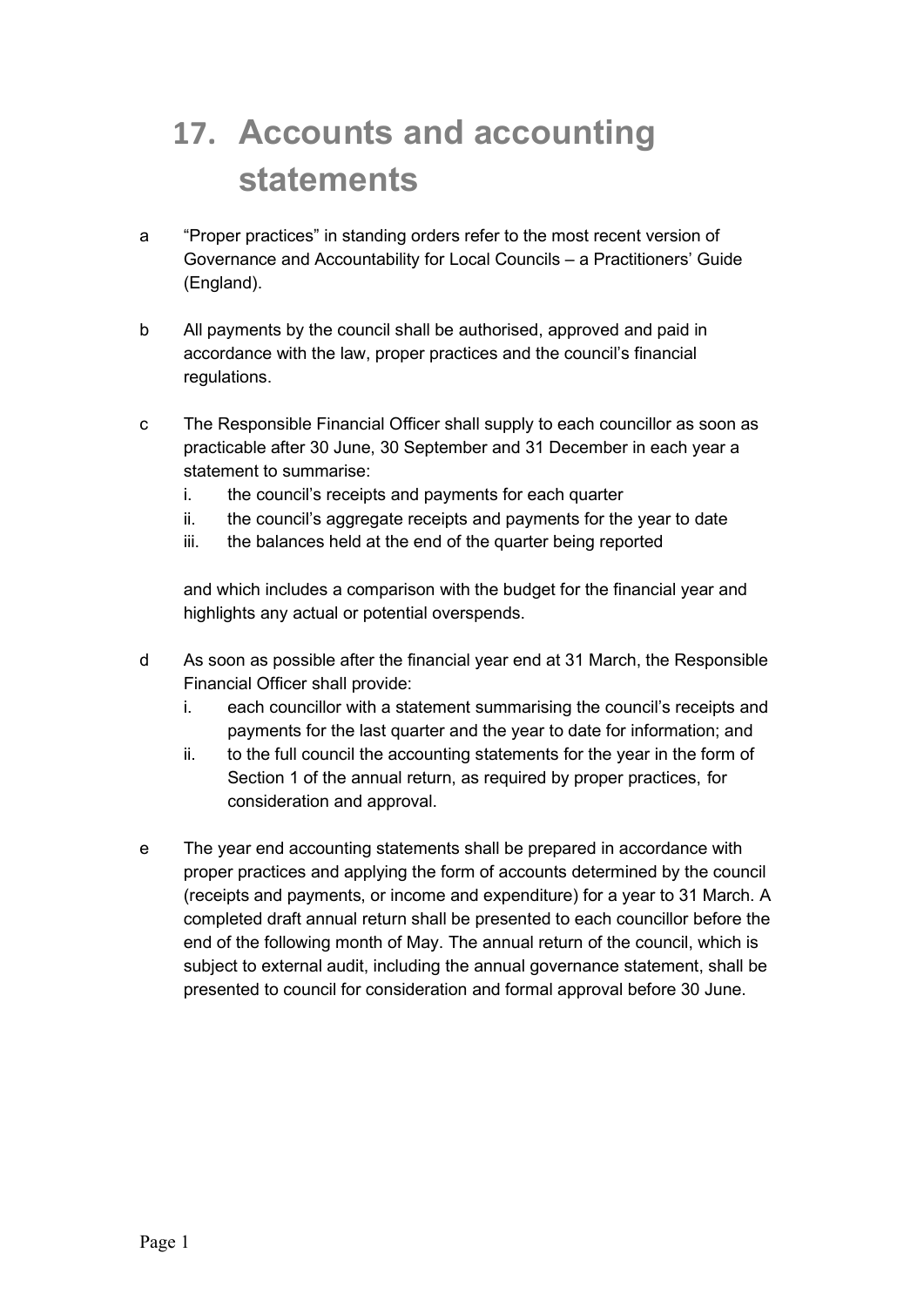# 17. Accounts and accounting statements

- a "Proper practices" in standing orders refer to the most recent version of Governance and Accountability for Local Councils – a Practitioners' Guide (England).
- b All payments by the council shall be authorised, approved and paid in accordance with the law, proper practices and the council's financial regulations.
- c The Responsible Financial Officer shall supply to each councillor as soon as practicable after 30 June, 30 September and 31 December in each year a statement to summarise:
	- i. the council's receipts and payments for each quarter
	- ii. the council's aggregate receipts and payments for the year to date
	- iii. the balances held at the end of the quarter being reported

and which includes a comparison with the budget for the financial year and highlights any actual or potential overspends.

- d As soon as possible after the financial year end at 31 March, the Responsible Financial Officer shall provide:
	- i. each councillor with a statement summarising the council's receipts and payments for the last quarter and the year to date for information; and
	- ii. to the full council the accounting statements for the year in the form of Section 1 of the annual return, as required by proper practices, for consideration and approval.
- e The year end accounting statements shall be prepared in accordance with proper practices and applying the form of accounts determined by the council (receipts and payments, or income and expenditure) for a year to 31 March. A completed draft annual return shall be presented to each councillor before the end of the following month of May. The annual return of the council, which is subject to external audit, including the annual governance statement, shall be presented to council for consideration and formal approval before 30 June.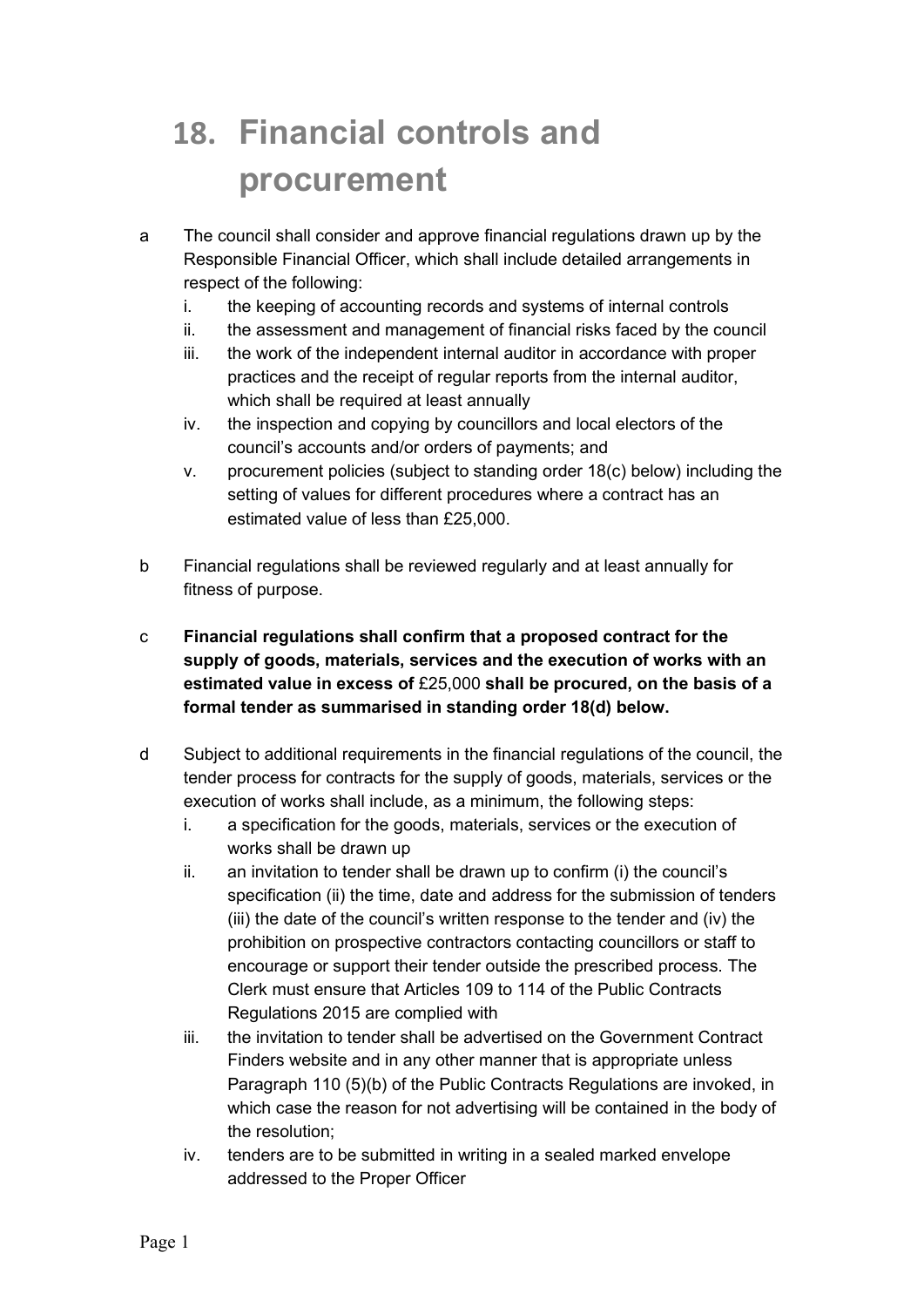# 18. Financial controls and procurement

- a The council shall consider and approve financial regulations drawn up by the Responsible Financial Officer, which shall include detailed arrangements in respect of the following:
	- i. the keeping of accounting records and systems of internal controls
	- ii. the assessment and management of financial risks faced by the council
	- iii. the work of the independent internal auditor in accordance with proper practices and the receipt of regular reports from the internal auditor, which shall be required at least annually
	- iv. the inspection and copying by councillors and local electors of the council's accounts and/or orders of payments; and
	- v. procurement policies (subject to standing order 18(c) below) including the setting of values for different procedures where a contract has an estimated value of less than £25,000.
- b Financial regulations shall be reviewed regularly and at least annually for fitness of purpose.
- c Financial regulations shall confirm that a proposed contract for the supply of goods, materials, services and the execution of works with an estimated value in excess of £25,000 shall be procured, on the basis of a formal tender as summarised in standing order 18(d) below.
- d Subject to additional requirements in the financial regulations of the council, the tender process for contracts for the supply of goods, materials, services or the execution of works shall include, as a minimum, the following steps:
	- i. a specification for the goods, materials, services or the execution of works shall be drawn up
	- ii. an invitation to tender shall be drawn up to confirm (i) the council's specification (ii) the time, date and address for the submission of tenders (iii) the date of the council's written response to the tender and (iv) the prohibition on prospective contractors contacting councillors or staff to encourage or support their tender outside the prescribed process. The Clerk must ensure that Articles 109 to 114 of the Public Contracts Regulations 2015 are complied with
	- iii. the invitation to tender shall be advertised on the Government Contract Finders website and in any other manner that is appropriate unless Paragraph 110 (5)(b) of the Public Contracts Regulations are invoked, in which case the reason for not advertising will be contained in the body of the resolution;
	- iv. tenders are to be submitted in writing in a sealed marked envelope addressed to the Proper Officer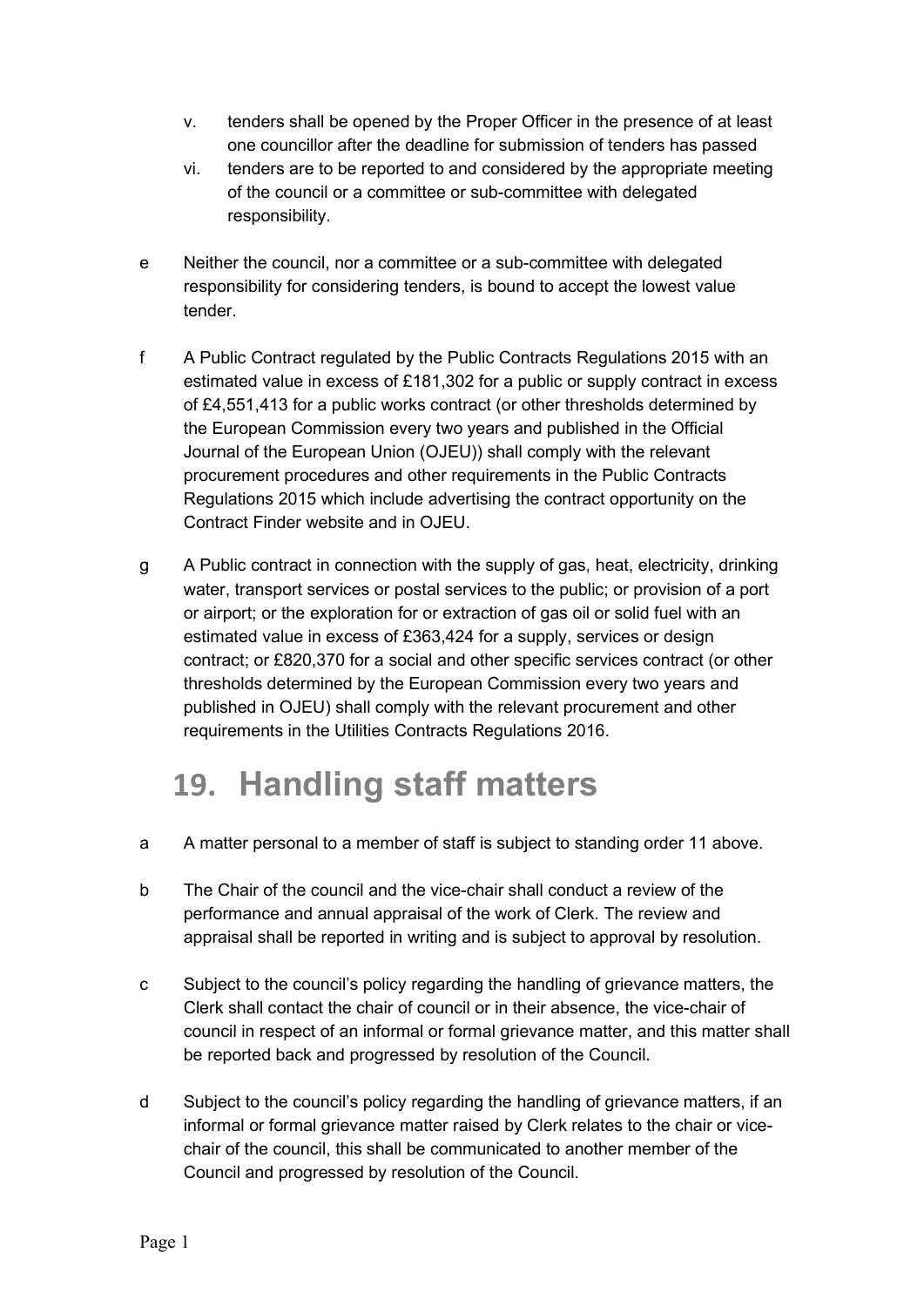- v. tenders shall be opened by the Proper Officer in the presence of at least one councillor after the deadline for submission of tenders has passed
- vi. tenders are to be reported to and considered by the appropriate meeting of the council or a committee or sub-committee with delegated responsibility.
- e Neither the council, nor a committee or a sub-committee with delegated responsibility for considering tenders, is bound to accept the lowest value tender.
- f A Public Contract regulated by the Public Contracts Regulations 2015 with an estimated value in excess of £181,302 for a public or supply contract in excess of £4,551,413 for a public works contract (or other thresholds determined by the European Commission every two years and published in the Official Journal of the European Union (OJEU)) shall comply with the relevant procurement procedures and other requirements in the Public Contracts Regulations 2015 which include advertising the contract opportunity on the Contract Finder website and in OJEU.
- g A Public contract in connection with the supply of gas, heat, electricity, drinking water, transport services or postal services to the public; or provision of a port or airport; or the exploration for or extraction of gas oil or solid fuel with an estimated value in excess of £363,424 for a supply, services or design contract; or £820,370 for a social and other specific services contract (or other thresholds determined by the European Commission every two years and published in OJEU) shall comply with the relevant procurement and other requirements in the Utilities Contracts Regulations 2016.

# 19. Handling staff matters

- a A matter personal to a member of staff is subject to standing order 11 above.
- b The Chair of the council and the vice-chair shall conduct a review of the performance and annual appraisal of the work of Clerk. The review and appraisal shall be reported in writing and is subject to approval by resolution.
- c Subject to the council's policy regarding the handling of grievance matters, the Clerk shall contact the chair of council or in their absence, the vice-chair of council in respect of an informal or formal grievance matter, and this matter shall be reported back and progressed by resolution of the Council.
- d Subject to the council's policy regarding the handling of grievance matters, if an informal or formal grievance matter raised by Clerk relates to the chair or vicechair of the council, this shall be communicated to another member of the Council and progressed by resolution of the Council.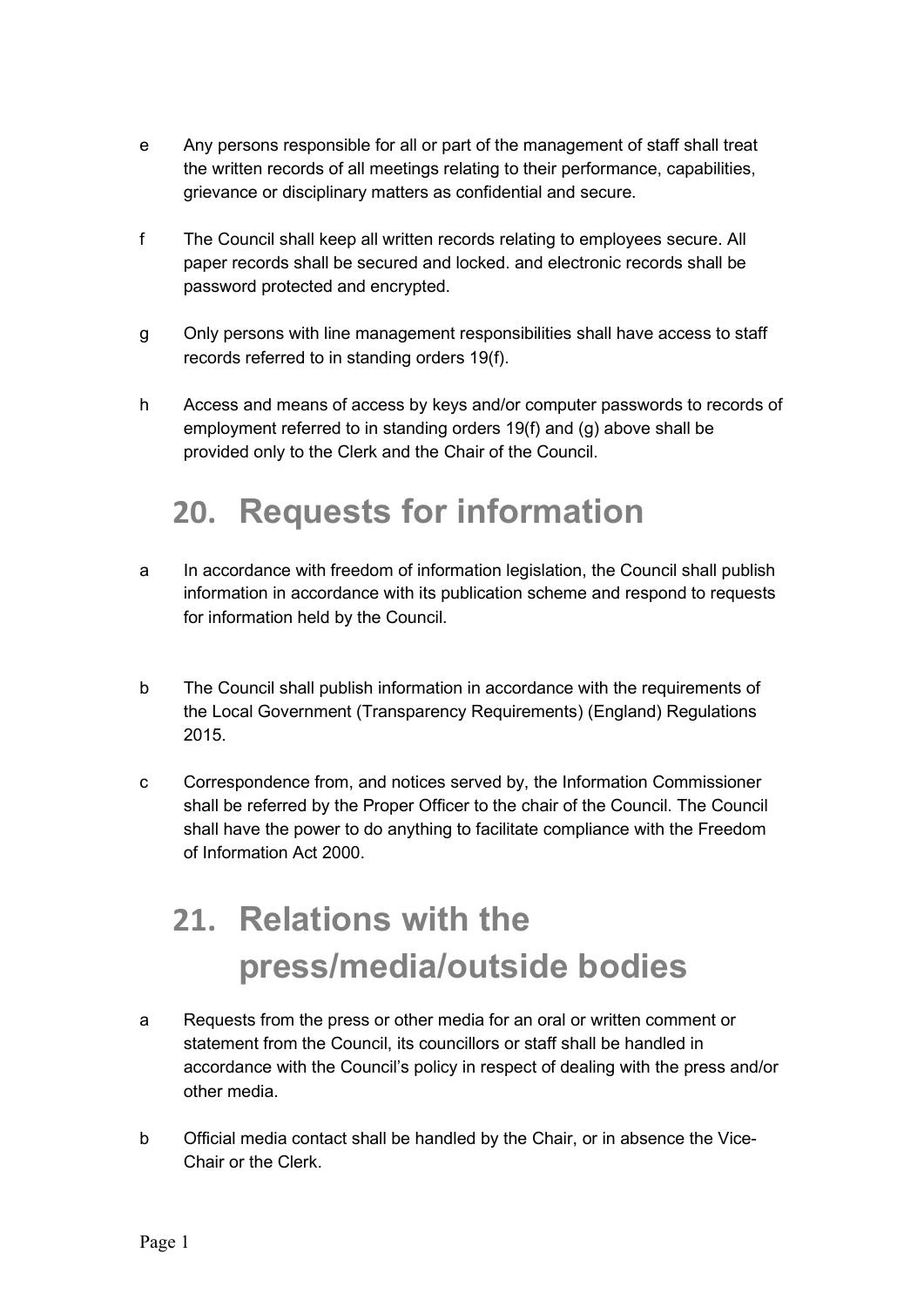- e Any persons responsible for all or part of the management of staff shall treat the written records of all meetings relating to their performance, capabilities, grievance or disciplinary matters as confidential and secure.
- f The Council shall keep all written records relating to employees secure. All paper records shall be secured and locked. and electronic records shall be password protected and encrypted.
- g Only persons with line management responsibilities shall have access to staff records referred to in standing orders 19(f).
- h Access and means of access by keys and/or computer passwords to records of employment referred to in standing orders 19(f) and (g) above shall be provided only to the Clerk and the Chair of the Council.

#### 20. Requests for information

- a In accordance with freedom of information legislation, the Council shall publish information in accordance with its publication scheme and respond to requests for information held by the Council.
- b The Council shall publish information in accordance with the requirements of the Local Government (Transparency Requirements) (England) Regulations 2015.
- c Correspondence from, and notices served by, the Information Commissioner shall be referred by the Proper Officer to the chair of the Council. The Council shall have the power to do anything to facilitate compliance with the Freedom of Information Act 2000.

# 21. Relations with the press/media/outside bodies

- a Requests from the press or other media for an oral or written comment or statement from the Council, its councillors or staff shall be handled in accordance with the Council's policy in respect of dealing with the press and/or other media.
- b Official media contact shall be handled by the Chair, or in absence the Vice-Chair or the Clerk.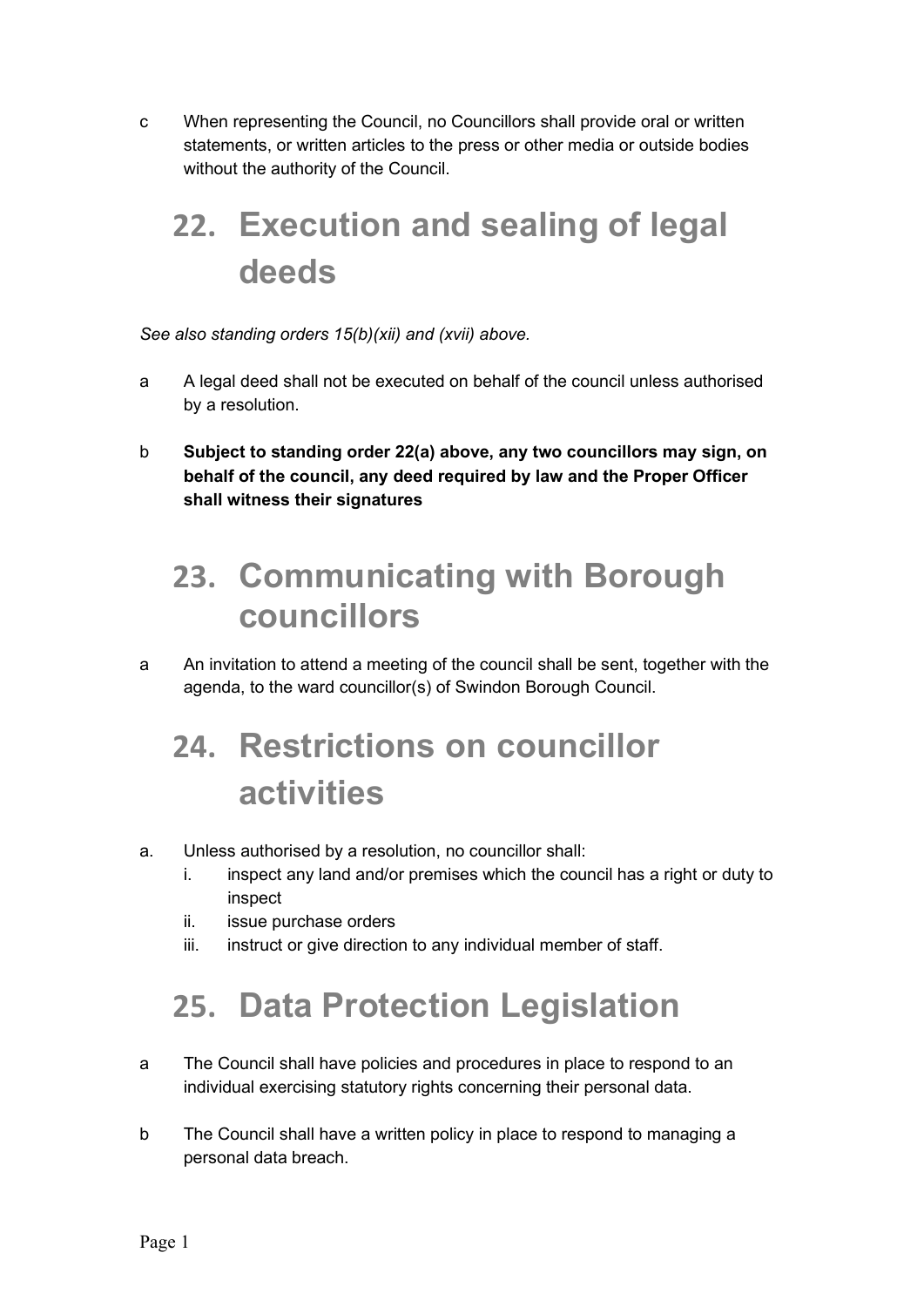c When representing the Council, no Councillors shall provide oral or written statements, or written articles to the press or other media or outside bodies without the authority of the Council.

# 22. Execution and sealing of legal deeds

#### See also standing orders 15(b)(xii) and (xvii) above.

- a A legal deed shall not be executed on behalf of the council unless authorised by a resolution.
- b Subject to standing order 22(a) above, any two councillors may sign, on behalf of the council, any deed required by law and the Proper Officer shall witness their signatures

#### 23. Communicating with Borough councillors

a An invitation to attend a meeting of the council shall be sent, together with the agenda, to the ward councillor(s) of Swindon Borough Council.

# 24. Restrictions on councillor activities

#### a. Unless authorised by a resolution, no councillor shall:

- i. inspect any land and/or premises which the council has a right or duty to inspect
- ii. issue purchase orders
- iii. instruct or give direction to any individual member of staff.

# 25. Data Protection Legislation

- a The Council shall have policies and procedures in place to respond to an individual exercising statutory rights concerning their personal data.
- b The Council shall have a written policy in place to respond to managing a personal data breach.